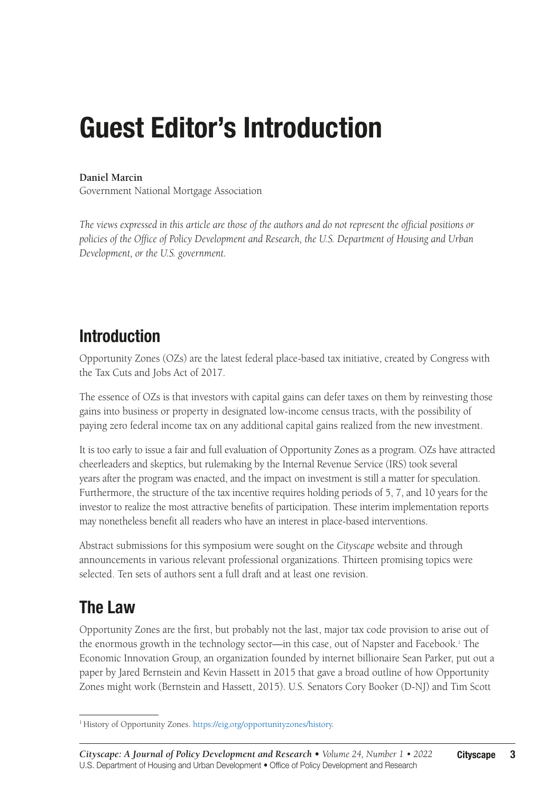# Guest Editor's Introduction

#### **Daniel Marcin**

Government National Mortgage Association

*The views expressed in this article are those of the authors and do not represent the official positions or policies of the Office of Policy Development and Research, the U.S. Department of Housing and Urban Development, or the U.S. government.*

### Introduction

Opportunity Zones (OZs) are the latest federal place-based tax initiative, created by Congress with the Tax Cuts and Jobs Act of 2017.

The essence of OZs is that investors with capital gains can defer taxes on them by reinvesting those gains into business or property in designated low-income census tracts, with the possibility of paying zero federal income tax on any additional capital gains realized from the new investment.

It is too early to issue a fair and full evaluation of Opportunity Zones as a program. OZs have attracted cheerleaders and skeptics, but rulemaking by the Internal Revenue Service (IRS) took several years after the program was enacted, and the impact on investment is still a matter for speculation. Furthermore, the structure of the tax incentive requires holding periods of 5, 7, and 10 years for the investor to realize the most attractive benefits of participation. These interim implementation reports may nonetheless benefit all readers who have an interest in place-based interventions.

Abstract submissions for this symposium were sought on the *Cityscape* website and through announcements in various relevant professional organizations. Thirteen promising topics were selected. Ten sets of authors sent a full draft and at least one revision.

#### The Law

Opportunity Zones are the first, but probably not the last, major tax code provision to arise out of the enormous growth in the technology sector—in this case, out of Napster and Facebook.1 The Economic Innovation Group, an organization founded by internet billionaire Sean Parker, put out a paper by Jared Bernstein and Kevin Hassett in 2015 that gave a broad outline of how Opportunity Zones might work (Bernstein and Hassett, 2015). U.S. Senators Cory Booker (D-NJ) and Tim Scott

<sup>&</sup>lt;sup>1</sup> History of Opportunity Zones.<https://eig.org/opportunityzones/history>.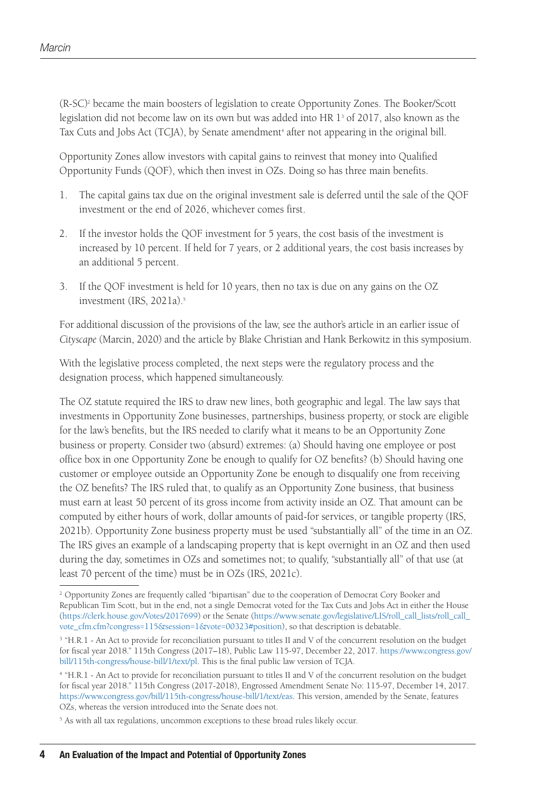(R-SC)2 became the main boosters of legislation to create Opportunity Zones. The Booker/Scott legislation did not become law on its own but was added into HR  $1^{\rm_3}$  of 2017, also known as the Tax Cuts and Jobs Act (TCJA), by Senate amendment<sup>4</sup> after not appearing in the original bill.

Opportunity Zones allow investors with capital gains to reinvest that money into Qualified Opportunity Funds (QOF), which then invest in OZs. Doing so has three main benefits.

- 1. The capital gains tax due on the original investment sale is deferred until the sale of the QOF investment or the end of 2026, whichever comes first.
- 2. If the investor holds the QOF investment for 5 years, the cost basis of the investment is increased by 10 percent. If held for 7 years, or 2 additional years, the cost basis increases by an additional 5 percent.
- 3. If the QOF investment is held for 10 years, then no tax is due on any gains on the OZ investment (IRS, 2021a).<sup>5</sup>

For additional discussion of the provisions of the law, see the author's article in an earlier issue of *Cityscape* (Marcin, 2020) and the article by Blake Christian and Hank Berkowitz in this symposium.

With the legislative process completed, the next steps were the regulatory process and the designation process, which happened simultaneously.

The OZ statute required the IRS to draw new lines, both geographic and legal. The law says that investments in Opportunity Zone businesses, partnerships, business property, or stock are eligible for the law's benefits, but the IRS needed to clarify what it means to be an Opportunity Zone business or property. Consider two (absurd) extremes: (a) Should having one employee or post office box in one Opportunity Zone be enough to qualify for OZ benefits? (b) Should having one customer or employee outside an Opportunity Zone be enough to disqualify one from receiving the OZ benefits? The IRS ruled that, to qualify as an Opportunity Zone business, that business must earn at least 50 percent of its gross income from activity inside an OZ. That amount can be computed by either hours of work, dollar amounts of paid-for services, or tangible property (IRS, 2021b). Opportunity Zone business property must be used "substantially all" of the time in an OZ. The IRS gives an example of a landscaping property that is kept overnight in an OZ and then used during the day, sometimes in OZs and sometimes not; to qualify, "substantially all" of that use (at least 70 percent of the time) must be in OZs (IRS, 2021c).

<sup>&</sup>lt;sup>2</sup> Opportunity Zones are frequently called "bipartisan" due to the cooperation of Democrat Cory Booker and Republican Tim Scott, but in the end, not a single Democrat voted for the Tax Cuts and Jobs Act in either the House ([https://clerk.house.gov/Votes/2017699\)](https://clerk.house.gov/Votes/2017699) or the Senate ([https://www.senate.gov/legislative/LIS/roll\\_call\\_lists/roll\\_call\\_](https://www.senate.gov/legislative/LIS/roll_call_lists/roll_call_vote_cfm.cfm?congress=115&session=1&vote=00323#position) [vote\\_cfm.cfm?congress=115&session=1&vote=00323#position\)](https://www.senate.gov/legislative/LIS/roll_call_lists/roll_call_vote_cfm.cfm?congress=115&session=1&vote=00323#position), so that description is debatable.

<sup>&</sup>lt;sup>3</sup> "H.R.1 - An Act to provide for reconciliation pursuant to titles II and V of the concurrent resolution on the budget for fiscal year 2018." 115th Congress (2017–18), Public Law 115-97, December 22, 2017. [https://www.congress.gov/](https://www.congress.gov/bill/115th-congress/house-bill/1/text/pl) [bill/115th-congress/house-bill/1/text/pl](https://www.congress.gov/bill/115th-congress/house-bill/1/text/pl). This is the final public law version of TCJA.

<sup>4 &</sup>quot;H.R.1 - An Act to provide for reconciliation pursuant to titles II and V of the concurrent resolution on the budget for fiscal year 2018." 115th Congress (2017-2018), Engrossed Amendment Senate No: 115-97, December 14, 2017. [https://www.congress.gov/bill/115th-congress/house-bill/1/text/eas.](https://www.congress.gov/bill/115th-congress/house-bill/1/text/eas) This version, amended by the Senate, features OZs, whereas the version introduced into the Senate does not.

<sup>&</sup>lt;sup>5</sup> As with all tax regulations, uncommon exceptions to these broad rules likely occur.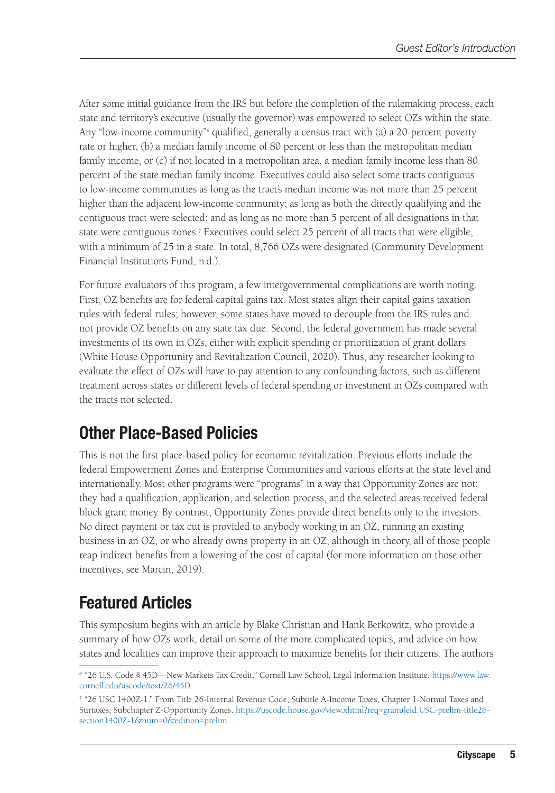After some initial guidance from the IRS but before the completion of the rulemaking process, each state and territory's executive (usually the governor) was empowered to select OZs within the state. Any "low-income community"<sup>6</sup> qualified, generally a census tract with (a) a 20-percent poverty rate or higher, (b) a median family income of 80 percent or less than the metropolitan median family income, or (c) if not located in a metropolitan area, a median family income less than 80 percent of the state median family income. Executives could also select some tracts contiguous to low-income communities as long as the tract's median income was not more than 25 percent higher than the adjacent low-income community; as long as both the directly qualifying and the contiguous tract were selected; and as long as no more than 5 percent of all designations in that state were contiguous zones.7 Executives could select 25 percent of all tracts that were eligible, with a minimum of 25 in a state. In total, 8,766 OZs were designated (Community Development Financial Institutions Fund, n.d.).

For future evaluators of this program, a few intergovernmental complications are worth noting. First, OZ benefits are for federal capital gains tax. Most states align their capital gains taxation rules with federal rules; however, some states have moved to decouple from the IRS rules and not provide OZ benefits on any state tax due. Second, the federal government has made several investments of its own in OZs, either with explicit spending or prioritization of grant dollars (White House Opportunity and Revitalization Council, 2020). Thus, any researcher looking to evaluate the effect of OZs will have to pay attention to any confounding factors, such as different treatment across states or different levels of federal spending or investment in OZs compared with the tracts not selected.

# Other Place-Based Policies

This is not the first place-based policy for economic revitalization. Previous efforts include the federal Empowerment Zones and Enterprise Communities and various efforts at the state level and internationally. Most other programs were "programs" in a way that Opportunity Zones are not; they had a qualification, application, and selection process, and the selected areas received federal block grant money. By contrast, Opportunity Zones provide direct benefits only to the investors. No direct payment or tax cut is provided to anybody working in an OZ, running an existing business in an OZ, or who already owns property in an OZ, although in theory, all of those people reap indirect benefits from a lowering of the cost of capital (for more information on those other incentives, see Marcin, 2019).

# Featured Articles

This symposium begins with an article by Blake Christian and Hank Berkowitz, who provide a summary of how OZs work, detail on some of the more complicated topics, and advice on how states and localities can improve their approach to maximize benefits for their citizens. The authors

<sup>6 &</sup>quot;26 U.S. Code § 45D—New Markets Tax Credit." Cornell Law School, Legal Information Institute. [https://www.law.](https://www.law.cornell.edu/uscode/text/26/45D) [cornell.edu/uscode/text/26/45D](https://www.law.cornell.edu/uscode/text/26/45D).

<sup>7 &</sup>quot;26 USC 1400Z-1." From Title 26-Internal Revenue Code, Subtitle A-Income Taxes, Chapter 1-Normal Taxes and Surtaxes, Subchapter Z-Opportunity Zones. [https://uscode.house.gov/view.xhtml?req=granuleid:USC-prelim-title26](https://uscode.house.gov/view.xhtml?req=granuleid:USC-prelim-title26-section1400Z-1&num=0&edition=prelim) [section1400Z-1&num=0&edition=prelim](https://uscode.house.gov/view.xhtml?req=granuleid:USC-prelim-title26-section1400Z-1&num=0&edition=prelim).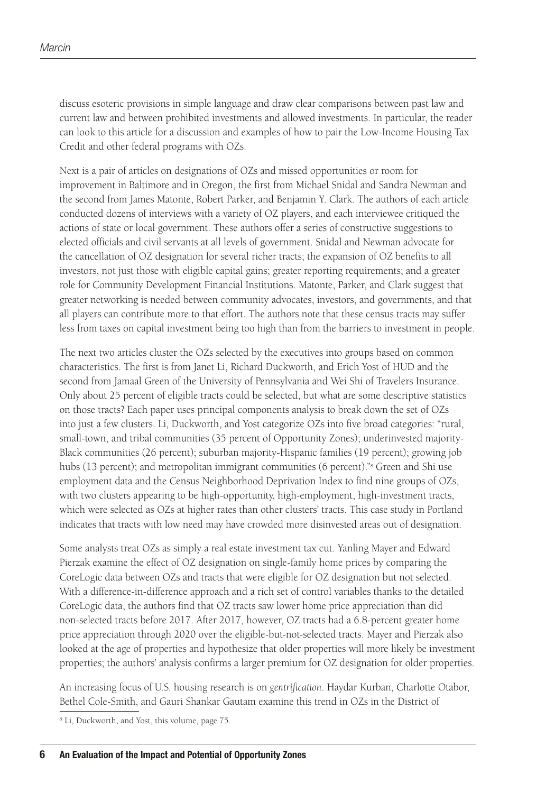discuss esoteric provisions in simple language and draw clear comparisons between past law and current law and between prohibited investments and allowed investments. In particular, the reader can look to this article for a discussion and examples of how to pair the Low-Income Housing Tax Credit and other federal programs with OZs.

Next is a pair of articles on designations of OZs and missed opportunities or room for improvement in Baltimore and in Oregon, the first from Michael Snidal and Sandra Newman and the second from James Matonte, Robert Parker, and Benjamin Y. Clark. The authors of each article conducted dozens of interviews with a variety of OZ players, and each interviewee critiqued the actions of state or local government. These authors offer a series of constructive suggestions to elected officials and civil servants at all levels of government. Snidal and Newman advocate for the cancellation of OZ designation for several richer tracts; the expansion of OZ benefits to all investors, not just those with eligible capital gains; greater reporting requirements; and a greater role for Community Development Financial Institutions. Matonte, Parker, and Clark suggest that greater networking is needed between community advocates, investors, and governments, and that all players can contribute more to that effort. The authors note that these census tracts may suffer less from taxes on capital investment being too high than from the barriers to investment in people.

The next two articles cluster the OZs selected by the executives into groups based on common characteristics. The first is from Janet Li, Richard Duckworth, and Erich Yost of HUD and the second from Jamaal Green of the University of Pennsylvania and Wei Shi of Travelers Insurance. Only about 25 percent of eligible tracts could be selected, but what are some descriptive statistics on those tracts? Each paper uses principal components analysis to break down the set of OZs into just a few clusters. Li, Duckworth, and Yost categorize OZs into five broad categories: "rural, small-town, and tribal communities (35 percent of Opportunity Zones); underinvested majority-Black communities (26 percent); suburban majority-Hispanic families (19 percent); growing job hubs (13 percent); and metropolitan immigrant communities (6 percent)."<sup>8</sup> Green and Shi use employment data and the Census Neighborhood Deprivation Index to find nine groups of OZs, with two clusters appearing to be high-opportunity, high-employment, high-investment tracts, which were selected as OZs at higher rates than other clusters' tracts. This case study in Portland indicates that tracts with low need may have crowded more disinvested areas out of designation.

Some analysts treat OZs as simply a real estate investment tax cut. Yanling Mayer and Edward Pierzak examine the effect of OZ designation on single-family home prices by comparing the CoreLogic data between OZs and tracts that were eligible for OZ designation but not selected. With a difference-in-difference approach and a rich set of control variables thanks to the detailed CoreLogic data, the authors find that OZ tracts saw lower home price appreciation than did non-selected tracts before 2017. After 2017, however, OZ tracts had a 6.8-percent greater home price appreciation through 2020 over the eligible-but-not-selected tracts. Mayer and Pierzak also looked at the age of properties and hypothesize that older properties will more likely be investment properties; the authors' analysis confirms a larger premium for OZ designation for older properties.

An increasing focus of U.S. housing research is on *gentrification*. Haydar Kurban, Charlotte Otabor, Bethel Cole-Smith, and Gauri Shankar Gautam examine this trend in OZs in the District of

<sup>8</sup> Li, Duckworth, and Yost, this volume, page 75.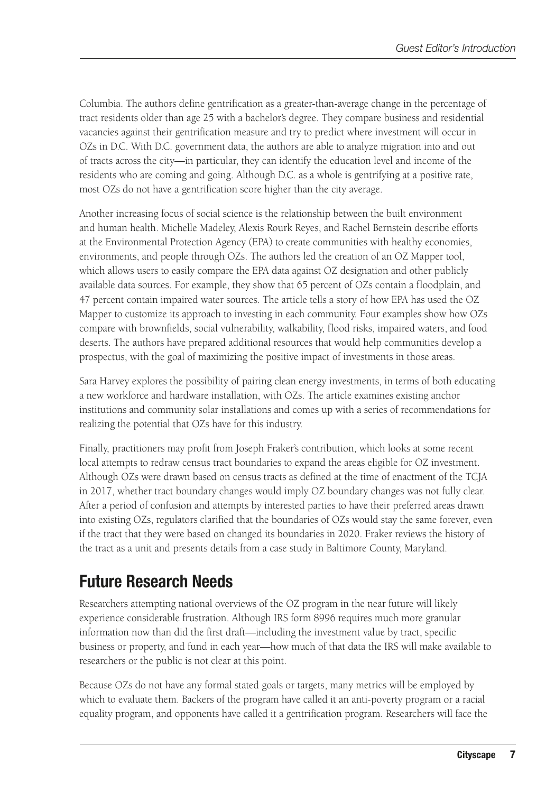Columbia. The authors define gentrification as a greater-than-average change in the percentage of tract residents older than age 25 with a bachelor's degree. They compare business and residential vacancies against their gentrification measure and try to predict where investment will occur in OZs in D.C. With D.C. government data, the authors are able to analyze migration into and out of tracts across the city—in particular, they can identify the education level and income of the residents who are coming and going. Although D.C. as a whole is gentrifying at a positive rate, most OZs do not have a gentrification score higher than the city average.

Another increasing focus of social science is the relationship between the built environment and human health. Michelle Madeley, Alexis Rourk Reyes, and Rachel Bernstein describe efforts at the Environmental Protection Agency (EPA) to create communities with healthy economies, environments, and people through OZs. The authors led the creation of an OZ Mapper tool, which allows users to easily compare the EPA data against OZ designation and other publicly available data sources. For example, they show that 65 percent of OZs contain a floodplain, and 47 percent contain impaired water sources. The article tells a story of how EPA has used the OZ Mapper to customize its approach to investing in each community. Four examples show how OZs compare with brownfields, social vulnerability, walkability, flood risks, impaired waters, and food deserts. The authors have prepared additional resources that would help communities develop a prospectus, with the goal of maximizing the positive impact of investments in those areas.

Sara Harvey explores the possibility of pairing clean energy investments, in terms of both educating a new workforce and hardware installation, with OZs. The article examines existing anchor institutions and community solar installations and comes up with a series of recommendations for realizing the potential that OZs have for this industry.

Finally, practitioners may profit from Joseph Fraker's contribution, which looks at some recent local attempts to redraw census tract boundaries to expand the areas eligible for OZ investment. Although OZs were drawn based on census tracts as defined at the time of enactment of the TCJA in 2017, whether tract boundary changes would imply OZ boundary changes was not fully clear. After a period of confusion and attempts by interested parties to have their preferred areas drawn into existing OZs, regulators clarified that the boundaries of OZs would stay the same forever, even if the tract that they were based on changed its boundaries in 2020. Fraker reviews the history of the tract as a unit and presents details from a case study in Baltimore County, Maryland.

# Future Research Needs

Researchers attempting national overviews of the OZ program in the near future will likely experience considerable frustration. Although IRS form 8996 requires much more granular information now than did the first draft—including the investment value by tract, specific business or property, and fund in each year—how much of that data the IRS will make available to researchers or the public is not clear at this point.

Because OZs do not have any formal stated goals or targets, many metrics will be employed by which to evaluate them. Backers of the program have called it an anti-poverty program or a racial equality program, and opponents have called it a gentrification program. Researchers will face the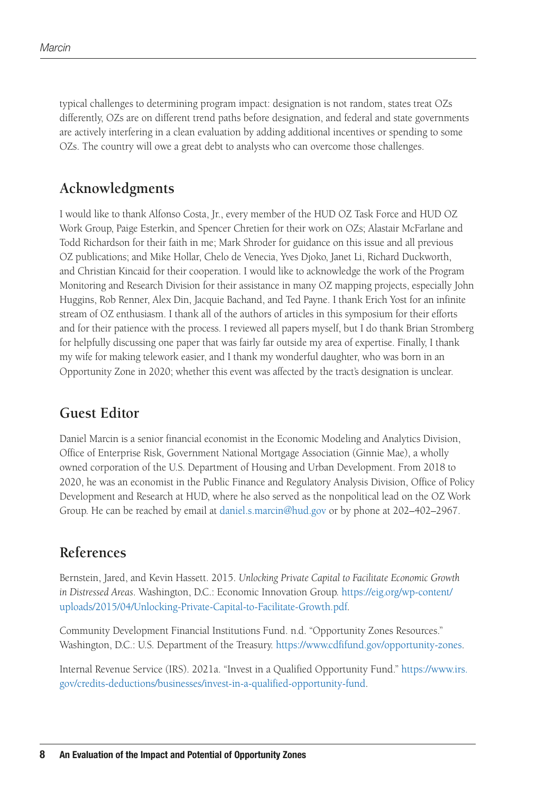typical challenges to determining program impact: designation is not random, states treat OZs differently, OZs are on different trend paths before designation, and federal and state governments are actively interfering in a clean evaluation by adding additional incentives or spending to some OZs. The country will owe a great debt to analysts who can overcome those challenges.

#### **Acknowledgments**

I would like to thank Alfonso Costa, Jr., every member of the HUD OZ Task Force and HUD OZ Work Group, Paige Esterkin, and Spencer Chretien for their work on OZs; Alastair McFarlane and Todd Richardson for their faith in me; Mark Shroder for guidance on this issue and all previous OZ publications; and Mike Hollar, Chelo de Venecia, Yves Djoko, Janet Li, Richard Duckworth, and Christian Kincaid for their cooperation. I would like to acknowledge the work of the Program Monitoring and Research Division for their assistance in many OZ mapping projects, especially John Huggins, Rob Renner, Alex Din, Jacquie Bachand, and Ted Payne. I thank Erich Yost for an infinite stream of OZ enthusiasm. I thank all of the authors of articles in this symposium for their efforts and for their patience with the process. I reviewed all papers myself, but I do thank Brian Stromberg for helpfully discussing one paper that was fairly far outside my area of expertise. Finally, I thank my wife for making telework easier, and I thank my wonderful daughter, who was born in an Opportunity Zone in 2020; whether this event was affected by the tract's designation is unclear.

#### **Guest Editor**

Daniel Marcin is a senior financial economist in the Economic Modeling and Analytics Division, Office of Enterprise Risk, Government National Mortgage Association (Ginnie Mae), a wholly owned corporation of the U.S. Department of Housing and Urban Development. From 2018 to 2020, he was an economist in the Public Finance and Regulatory Analysis Division, Office of Policy Development and Research at HUD, where he also served as the nonpolitical lead on the OZ Work Group. He can be reached by email at [daniel.s.marcin@hud.gov](mailto:daniel.s.marcin@hud.gov) or by phone at 202–402–2967.

#### **References**

Bernstein, Jared, and Kevin Hassett. 2015. *Unlocking Private Capital to Facilitate Economic Growth in Distressed Areas*. Washington, D.C.: Economic Innovation Group. [https://eig.org/wp-content/](https://eig.org/wp-content/uploads/2015/04/Unlocking-Private-Capital-to-Facilitate-Growth.pdf) [uploads/2015/04/Unlocking-Private-Capital-to-Facilitate-Growth.pdf](https://eig.org/wp-content/uploads/2015/04/Unlocking-Private-Capital-to-Facilitate-Growth.pdf).

Community Development Financial Institutions Fund. n.d. "Opportunity Zones Resources." Washington, D.C.: U.S. Department of the Treasury. <https://www.cdfifund.gov/opportunity-zones>.

Internal Revenue Service (IRS). 2021a. "Invest in a Qualified Opportunity Fund." [https://www.irs.](https://www.irs.gov/credits-deductions/businesses/invest-in-a-qualified-opportunity-fund) [gov/credits-deductions/businesses/invest-in-a-qualified-opportunity-fund.](https://www.irs.gov/credits-deductions/businesses/invest-in-a-qualified-opportunity-fund)